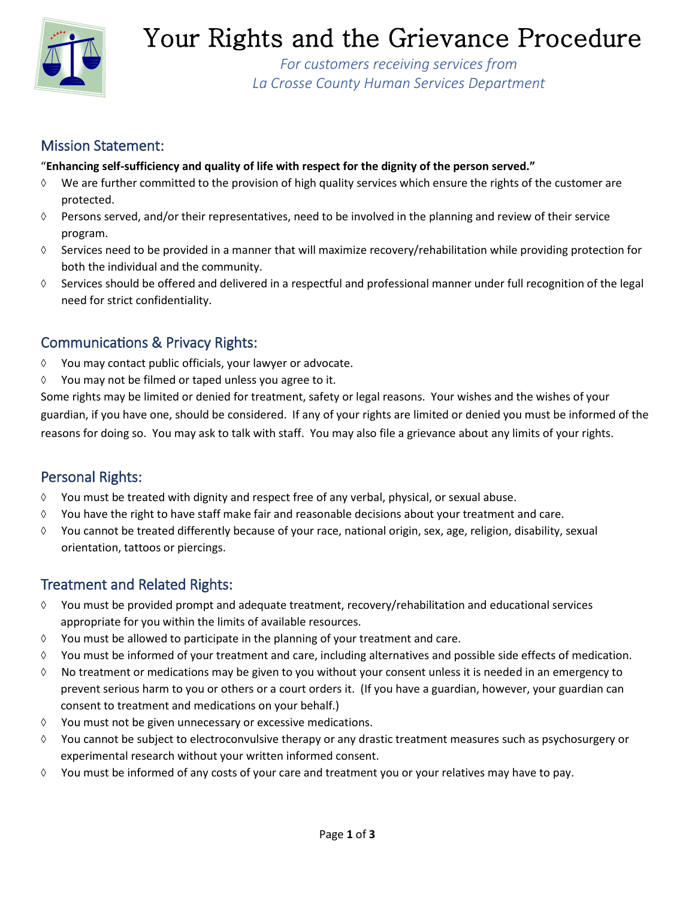

# Your Rights and the Grievance Procedure

*For customers receiving services from La Crosse County Human Services Department*

## Mission Statement:

### "**Enhancing self-sufficiency and quality of life with respect for the dignity of the person served."**

- $\Diamond$  We are further committed to the provision of high quality services which ensure the rights of the customer are protected.
- $\Diamond$  Persons served, and/or their representatives, need to be involved in the planning and review of their service program.
- $\Diamond$  Services need to be provided in a manner that will maximize recovery/rehabilitation while providing protection for both the individual and the community.
- Services should be offered and delivered in a respectful and professional manner under full recognition of the legal need for strict confidentiality.

## Communications & Privacy Rights:

- $\Diamond$  You may contact public officials, your lawyer or advocate.
- $\Diamond$  You may not be filmed or taped unless you agree to it.

Some rights may be limited or denied for treatment, safety or legal reasons. Your wishes and the wishes of your guardian, if you have one, should be considered. If any of your rights are limited or denied you must be informed of the reasons for doing so. You may ask to talk with staff. You may also file a grievance about any limits of your rights.

## Personal Rights:

- $\Diamond$  You must be treated with dignity and respect free of any verbal, physical, or sexual abuse.
- $\Diamond$  You have the right to have staff make fair and reasonable decisions about your treatment and care.
- $\Diamond$  You cannot be treated differently because of your race, national origin, sex, age, religion, disability, sexual orientation, tattoos or piercings.

## Treatment and Related Rights:

- $\Diamond$  You must be provided prompt and adequate treatment, recovery/rehabilitation and educational services appropriate for you within the limits of available resources.
- $\Diamond$  You must be allowed to participate in the planning of your treatment and care.
- $\Diamond$  You must be informed of your treatment and care, including alternatives and possible side effects of medication.
- $\Diamond$  No treatment or medications may be given to you without your consent unless it is needed in an emergency to prevent serious harm to you or others or a court orders it. (If you have a guardian, however, your guardian can consent to treatment and medications on your behalf.)
- $\Diamond$  You must not be given unnecessary or excessive medications.
- $\Diamond$  You cannot be subject to electroconvulsive therapy or any drastic treatment measures such as psychosurgery or experimental research without your written informed consent.
- You must be informed of any costs of your care and treatment you or your relatives may have to pay.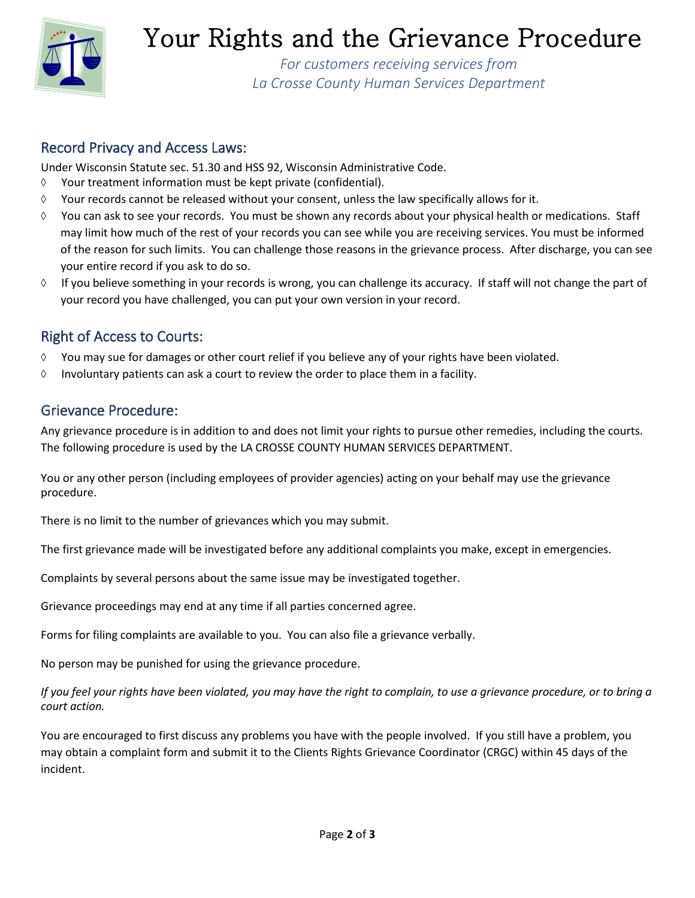

# Your Rights and the Grievance Procedure

*For customers receiving services from La Crosse County Human Services Department*

### Record Privacy and Access Laws:

Under Wisconsin Statute sec. 51.30 and HSS 92, Wisconsin Administrative Code.

- $\Diamond$  Your treatment information must be kept private (confidential).
- $\Diamond$  Your records cannot be released without your consent, unless the law specifically allows for it.
- $\Diamond$  You can ask to see your records. You must be shown any records about your physical health or medications. Staff may limit how much of the rest of your records you can see while you are receiving services. You must be informed of the reason for such limits. You can challenge those reasons in the grievance process. After discharge, you can see your entire record if you ask to do so.
- $\Diamond$  If you believe something in your records is wrong, you can challenge its accuracy. If staff will not change the part of your record you have challenged, you can put your own version in your record.

## Right of Access to Courts:

- You may sue for damages or other court relief if you believe any of your rights have been violated.
- $\Diamond$  Involuntary patients can ask a court to review the order to place them in a facility.

## Grievance Procedure:

Any grievance procedure is in addition to and does not limit your rights to pursue other remedies, including the courts. The following procedure is used by the LA CROSSE COUNTY HUMAN SERVICES DEPARTMENT.

You or any other person (including employees of provider agencies) acting on your behalf may use the grievance procedure.

There is no limit to the number of grievances which you may submit.

The first grievance made will be investigated before any additional complaints you make, except in emergencies.

Complaints by several persons about the same issue may be investigated together.

Grievance proceedings may end at any time if all parties concerned agree.

Forms for filing complaints are available to you. You can also file a grievance verbally.

No person may be punished for using the grievance procedure.

*If you feel your rights have been violated, you may have the right to complain, to use a grievance procedure, or to bring a court action.*

You are encouraged to first discuss any problems you have with the people involved. If you still have a problem, you may obtain a complaint form and submit it to the Clients Rights Grievance Coordinator (CRGC) within 45 days of the incident.